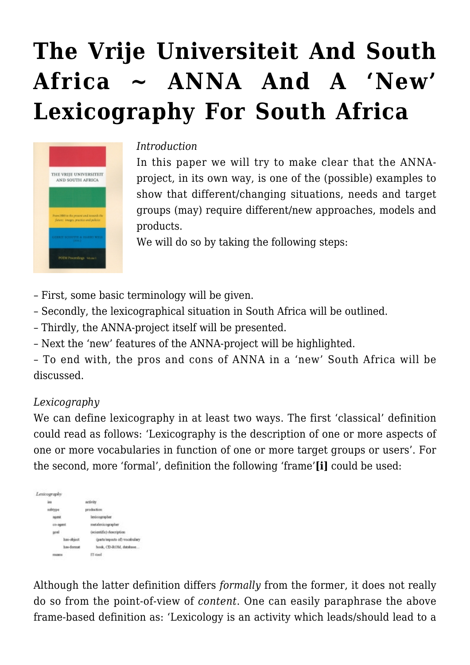# **[The Vrije Universiteit And South](https://rozenbergquarterly.com/the-vrije-universiteit-and-south-africa-anna-and-a-new-lexicography-for-south-africa/) [Africa ~ ANNA And A 'New'](https://rozenbergquarterly.com/the-vrije-universiteit-and-south-africa-anna-and-a-new-lexicography-for-south-africa/) [Lexicography For South Africa](https://rozenbergquarterly.com/the-vrije-universiteit-and-south-africa-anna-and-a-new-lexicography-for-south-africa/)**



#### *Introduction*

In this paper we will try to make clear that the ANNAproject, in its own way, is one of the (possible) examples to show that different/changing situations, needs and target groups (may) require different/new approaches, models and products.

We will do so by taking the following steps:

- First, some basic terminology will be given.
- Secondly, the lexicographical situation in South Africa will be outlined.
- Thirdly, the ANNA-project itself will be presented.
- Next the 'new' features of the ANNA-project will be highlighted.

– To end with, the pros and cons of ANNA in a 'new' South Africa will be discussed.

#### *Lexicography*

We can define lexicography in at least two ways. The first 'classical' definition could read as follows: 'Lexicography is the description of one or more aspects of one or more vocabularies in function of one or more target groups or users'. For the second, more 'formal', definition the following 'frame'**[i]** could be used:



Although the latter definition differs *formally* from the former, it does not really do so from the point-of-view of *content*. One can easily paraphrase the above frame-based definition as: 'Lexicology is an activity which leads/should lead to a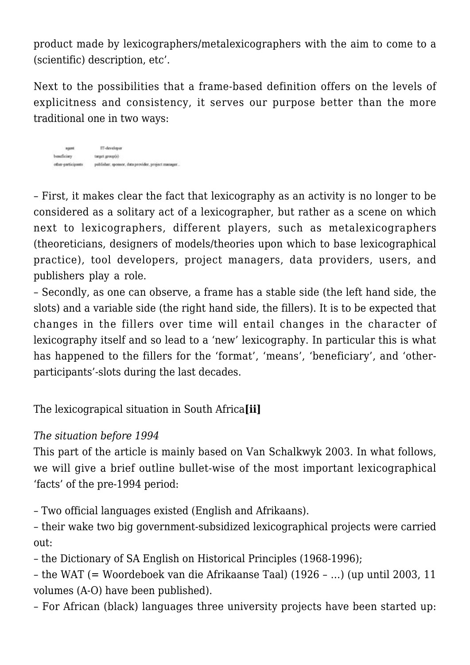product made by lexicographers/metalexicographers with the aim to come to a (scientific) description, etc'.

Next to the possibilities that a frame-based definition offers on the levels of explicitness and consistency, it serves our purpose better than the more traditional one in two ways:

agent IT-develope beneficiary target group(s) other-participants publisher, sponsor, data provider, project manager.

– First, it makes clear the fact that lexicography as an activity is no longer to be considered as a solitary act of a lexicographer, but rather as a scene on which next to lexicographers, different players, such as metalexicographers (theoreticians, designers of models/theories upon which to base lexicographical practice), tool developers, project managers, data providers, users, and publishers play a role.

– Secondly, as one can observe, a frame has a stable side (the left hand side, the slots) and a variable side (the right hand side, the fillers). It is to be expected that changes in the fillers over time will entail changes in the character of lexicography itself and so lead to a 'new' lexicography. In particular this is what has happened to the fillers for the 'format', 'means', 'beneficiary', and 'otherparticipants'-slots during the last decades.

The lexicograpical situation in South Africa**[ii]**

# *The situation before 1994*

This part of the article is mainly based on Van Schalkwyk 2003. In what follows, we will give a brief outline bullet-wise of the most important lexicographical 'facts' of the pre-1994 period:

– Two official languages existed (English and Afrikaans).

– their wake two big government-subsidized lexicographical projects were carried out:

– the Dictionary of SA English on Historical Principles (1968-1996);

– the WAT (= Woordeboek van die Afrikaanse Taal) (1926 – …) (up until 2003, 11 volumes (A-O) have been published).

– For African (black) languages three university projects have been started up: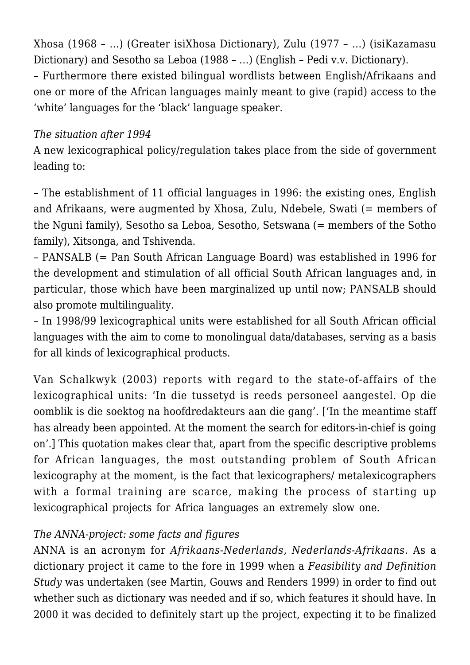Xhosa (1968 – …) (Greater isiXhosa Dictionary), Zulu (1977 – …) (isiKazamasu Dictionary) and Sesotho sa Leboa (1988 – …) (English – Pedi v.v. Dictionary).

– Furthermore there existed bilingual wordlists between English/Afrikaans and one or more of the African languages mainly meant to give (rapid) access to the 'white' languages for the 'black' language speaker.

## *The situation after 1994*

A new lexicographical policy/regulation takes place from the side of government leading to:

– The establishment of 11 official languages in 1996: the existing ones, English and Afrikaans, were augmented by Xhosa, Zulu, Ndebele, Swati (= members of the Nguni family), Sesotho sa Leboa, Sesotho, Setswana (= members of the Sotho family), Xitsonga, and Tshivenda.

– PANSALB (= Pan South African Language Board) was established in 1996 for the development and stimulation of all official South African languages and, in particular, those which have been marginalized up until now; PANSALB should also promote multilinguality.

– In 1998/99 lexicographical units were established for all South African official languages with the aim to come to monolingual data/databases, serving as a basis for all kinds of lexicographical products.

Van Schalkwyk (2003) reports with regard to the state-of-affairs of the lexicographical units: 'In die tussetyd is reeds personeel aangestel. Op die oomblik is die soektog na hoofdredakteurs aan die gang'. ['In the meantime staff has already been appointed. At the moment the search for editors-in-chief is going on'.] This quotation makes clear that, apart from the specific descriptive problems for African languages, the most outstanding problem of South African lexicography at the moment, is the fact that lexicographers/ metalexicographers with a formal training are scarce, making the process of starting up lexicographical projects for Africa languages an extremely slow one.

## *The ANNA-project: some facts and figures*

ANNA is an acronym for *Afrikaans-Nederlands, Nederlands-Afrikaans*. As a dictionary project it came to the fore in 1999 when a *Feasibility and Definition Study* was undertaken (see Martin, Gouws and Renders 1999) in order to find out whether such as dictionary was needed and if so, which features it should have. In 2000 it was decided to definitely start up the project, expecting it to be finalized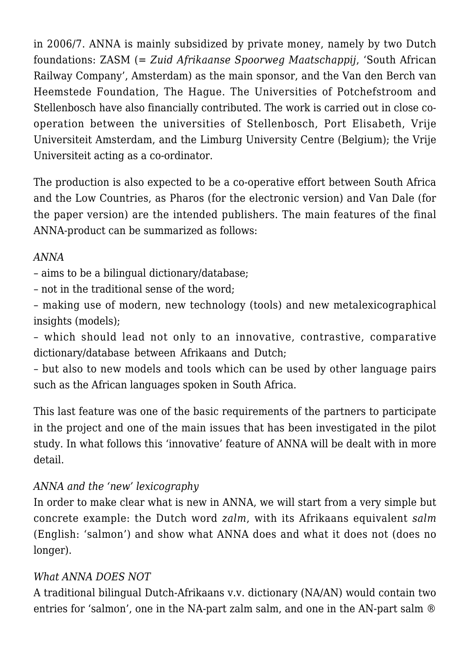in 2006/7. ANNA is mainly subsidized by private money, namely by two Dutch foundations: ZASM (= *Zuid Afrikaanse Spoorweg Maatschappij*, 'South African Railway Company', Amsterdam) as the main sponsor, and the Van den Berch van Heemstede Foundation, The Hague. The Universities of Potchefstroom and Stellenbosch have also financially contributed. The work is carried out in close cooperation between the universities of Stellenbosch, Port Elisabeth, Vrije Universiteit Amsterdam, and the Limburg University Centre (Belgium); the Vrije Universiteit acting as a co-ordinator.

The production is also expected to be a co-operative effort between South Africa and the Low Countries, as Pharos (for the electronic version) and Van Dale (for the paper version) are the intended publishers. The main features of the final ANNA-product can be summarized as follows:

## *ANNA*

– aims to be a bilingual dictionary/database;

– not in the traditional sense of the word;

– making use of modern, new technology (tools) and new metalexicographical insights (models);

– which should lead not only to an innovative, contrastive, comparative dictionary/database between Afrikaans and Dutch;

– but also to new models and tools which can be used by other language pairs such as the African languages spoken in South Africa.

This last feature was one of the basic requirements of the partners to participate in the project and one of the main issues that has been investigated in the pilot study. In what follows this 'innovative' feature of ANNA will be dealt with in more detail.

# *ANNA and the 'new' lexicography*

In order to make clear what is new in ANNA, we will start from a very simple but concrete example: the Dutch word *zalm*, with its Afrikaans equivalent *salm* (English: 'salmon') and show what ANNA does and what it does not (does no longer).

## *What ANNA DOES NOT*

A traditional bilingual Dutch-Afrikaans v.v. dictionary (NA/AN) would contain two entries for 'salmon', one in the NA-part zalm salm, and one in the AN-part salm ®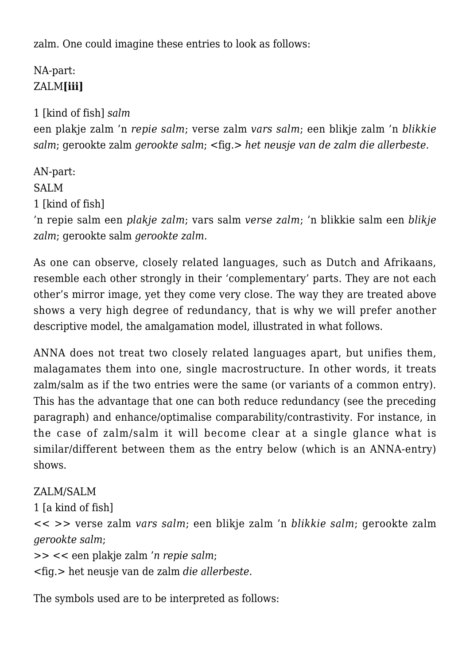zalm. One could imagine these entries to look as follows:

# NA-part: ZALM**[iii]**

1 [kind of fish] *salm* een plakje zalm 'n *repie salm*; verse zalm *vars salm*; een blikje zalm 'n *blikkie salm*; gerookte zalm *gerookte salm*; <fig.> *het neusje van de zalm die allerbeste.*

AN-part: SALM 1 [kind of fish] 'n repie salm een *plakje zalm*; vars salm *verse zalm*; 'n blikkie salm een *blikje zalm*; gerookte salm *gerookte zalm*.

As one can observe, closely related languages, such as Dutch and Afrikaans, resemble each other strongly in their 'complementary' parts. They are not each other's mirror image, yet they come very close. The way they are treated above shows a very high degree of redundancy, that is why we will prefer another descriptive model, the amalgamation model, illustrated in what follows.

ANNA does not treat two closely related languages apart, but unifies them, malagamates them into one, single macrostructure. In other words, it treats zalm/salm as if the two entries were the same (or variants of a common entry). This has the advantage that one can both reduce redundancy (see the preceding paragraph) and enhance/optimalise comparability/contrastivity. For instance, in the case of zalm/salm it will become clear at a single glance what is similar/different between them as the entry below (which is an ANNA-entry) shows.

ZALM/SALM 1 [a kind of fish] << >> verse zalm *vars salm*; een blikje zalm 'n *blikkie salm*; gerookte zalm *gerookte salm*; >> << een plakje zalm '*n repie salm*;

<fig.> het neusje van de zalm *die allerbeste.*

The symbols used are to be interpreted as follows: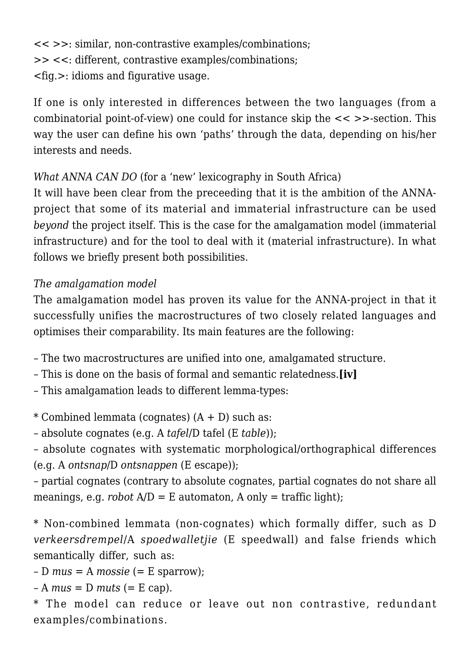<< >>: similar, non-contrastive examples/combinations; >> <<: different, contrastive examples/combinations; <fig.>: idioms and figurative usage.

If one is only interested in differences between the two languages (from a combinatorial point-of-view) one could for instance skip the << >>-section. This way the user can define his own 'paths' through the data, depending on his/her interests and needs.

*What ANNA CAN DO* (for a 'new' lexicography in South Africa)

It will have been clear from the preceeding that it is the ambition of the ANNAproject that some of its material and immaterial infrastructure can be used *beyond* the project itself. This is the case for the amalgamation model (immaterial infrastructure) and for the tool to deal with it (material infrastructure). In what follows we briefly present both possibilities.

# *The amalgamation model*

The amalgamation model has proven its value for the ANNA-project in that it successfully unifies the macrostructures of two closely related languages and optimises their comparability. Its main features are the following:

– The two macrostructures are unified into one, amalgamated structure.

- This is done on the basis of formal and semantic relatedness.**[iv]**
- This amalgamation leads to different lemma-types:

 $*$  Combined lemmata (cognates)  $(A + D)$  such as:

– absolute cognates (e.g. A *tafel*/D tafel (E *table*));

– absolute cognates with systematic morphological/orthographical differences (e.g. A *ontsnap*/D *ontsnappen* (E escape));

– partial cognates (contrary to absolute cognates, partial cognates do not share all meanings, e.g. *robot*  $A/D = E$  automaton,  $A$  only  $=$  traffic light);

\* Non-combined lemmata (non-cognates) which formally differ, such as D *verkeersdrempel*/A *spoedwalletjie* (E speedwall) and false friends which semantically differ, such as:

 $-D$  *mus* = A *mossie* (= E sparrow);

 $-A$  *mus* = D *muts* (= E cap).

\* The model can reduce or leave out non contrastive, redundant examples/combinations.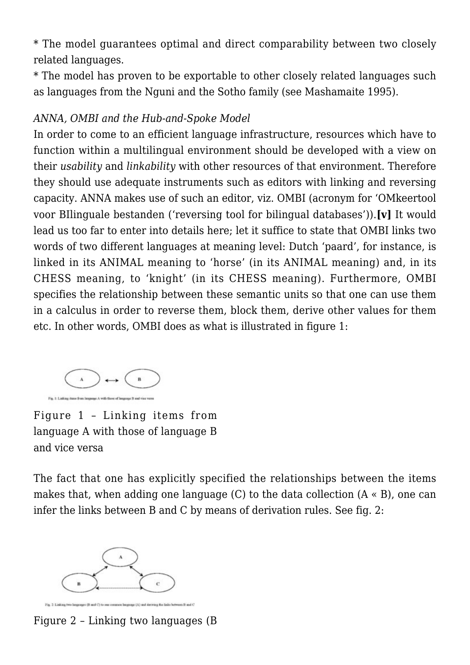\* The model guarantees optimal and direct comparability between two closely related languages.

\* The model has proven to be exportable to other closely related languages such as languages from the Nguni and the Sotho family (see Mashamaite 1995).

## *ANNA, OMBI and the Hub-and-Spoke Model*

In order to come to an efficient language infrastructure, resources which have to function within a multilingual environment should be developed with a view on their *usability* and *linkability* with other resources of that environment. Therefore they should use adequate instruments such as editors with linking and reversing capacity. ANNA makes use of such an editor, viz. OMBI (acronym for 'OMkeertool voor BIlinguale bestanden ('reversing tool for bilingual databases')).**[v]** It would lead us too far to enter into details here; let it suffice to state that OMBI links two words of two different languages at meaning level: Dutch 'paard', for instance, is linked in its ANIMAL meaning to 'horse' (in its ANIMAL meaning) and, in its CHESS meaning, to 'knight' (in its CHESS meaning). Furthermore, OMBI specifies the relationship between these semantic units so that one can use them in a calculus in order to reverse them, block them, derive other values for them etc. In other words, OMBI does as what is illustrated in figure 1:



Figure 1 – Linking items from language A with those of language B and vice versa

The fact that one has explicitly specified the relationships between the items makes that, when adding one language  $(C)$  to the data collection  $(A \times B)$ , one can infer the links between B and C by means of derivation rules. See fig. 2:



Figure 2 – Linking two languages (B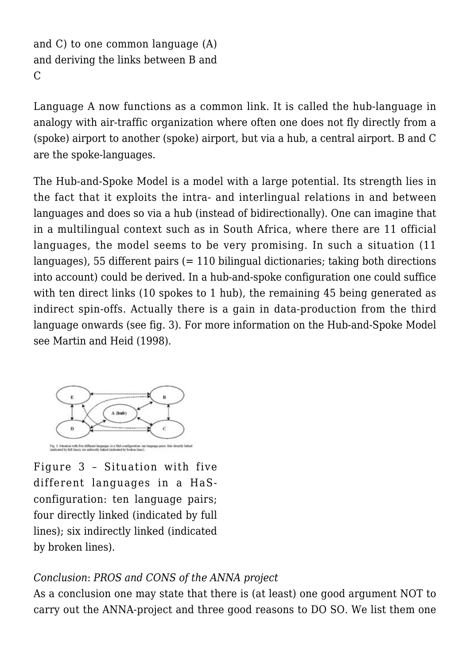```
and C) to one common language (A)
and deriving the links between B and
\overline{C}
```
Language A now functions as a common link. It is called the hub-language in analogy with air-traffic organization where often one does not fly directly from a (spoke) airport to another (spoke) airport, but via a hub, a central airport. B and C are the spoke-languages.

The Hub-and-Spoke Model is a model with a large potential. Its strength lies in the fact that it exploits the intra- and interlingual relations in and between languages and does so via a hub (instead of bidirectionally). One can imagine that in a multilingual context such as in South Africa, where there are 11 official languages, the model seems to be very promising. In such a situation (11 languages), 55 different pairs (= 110 bilingual dictionaries; taking both directions into account) could be derived. In a hub-and-spoke configuration one could suffice with ten direct links (10 spokes to 1 hub), the remaining 45 being generated as indirect spin-offs. Actually there is a gain in data-production from the third language onwards (see fig. 3). For more information on the Hub-and-Spoke Model see Martin and Heid (1998).



Figure 3 – Situation with five different languages in a HaSconfiguration: ten language pairs; four directly linked (indicated by full lines); six indirectly linked (indicated by broken lines).

# *Conclusion*: *PROS and CONS of the ANNA project*

As a conclusion one may state that there is (at least) one good argument NOT to carry out the ANNA-project and three good reasons to DO SO. We list them one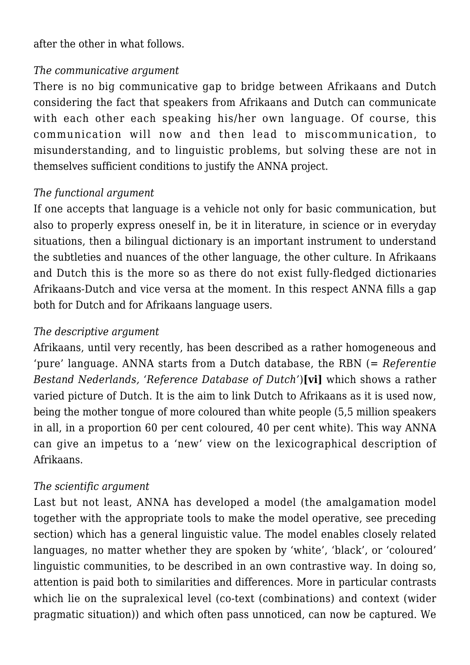after the other in what follows.

#### *The communicative argument*

There is no big communicative gap to bridge between Afrikaans and Dutch considering the fact that speakers from Afrikaans and Dutch can communicate with each other each speaking his/her own language. Of course, this communication will now and then lead to miscommunication, to misunderstanding, and to linguistic problems, but solving these are not in themselves sufficient conditions to justify the ANNA project.

## *The functional argument*

If one accepts that language is a vehicle not only for basic communication, but also to properly express oneself in, be it in literature, in science or in everyday situations, then a bilingual dictionary is an important instrument to understand the subtleties and nuances of the other language, the other culture. In Afrikaans and Dutch this is the more so as there do not exist fully-fledged dictionaries Afrikaans-Dutch and vice versa at the moment. In this respect ANNA fills a gap both for Dutch and for Afrikaans language users.

#### *The descriptive argument*

Afrikaans, until very recently, has been described as a rather homogeneous and 'pure' language. ANNA starts from a Dutch database, the RBN (= *Referentie Bestand Nederlands, 'Reference Database of Dutch'*)**[vi]** which shows a rather varied picture of Dutch. It is the aim to link Dutch to Afrikaans as it is used now, being the mother tongue of more coloured than white people (5,5 million speakers in all, in a proportion 60 per cent coloured, 40 per cent white). This way ANNA can give an impetus to a 'new' view on the lexicographical description of Afrikaans.

#### *The scientific argument*

Last but not least, ANNA has developed a model (the amalgamation model together with the appropriate tools to make the model operative, see preceding section) which has a general linguistic value. The model enables closely related languages, no matter whether they are spoken by 'white', 'black', or 'coloured' linguistic communities, to be described in an own contrastive way. In doing so, attention is paid both to similarities and differences. More in particular contrasts which lie on the supralexical level (co-text (combinations) and context (wider pragmatic situation)) and which often pass unnoticed, can now be captured. We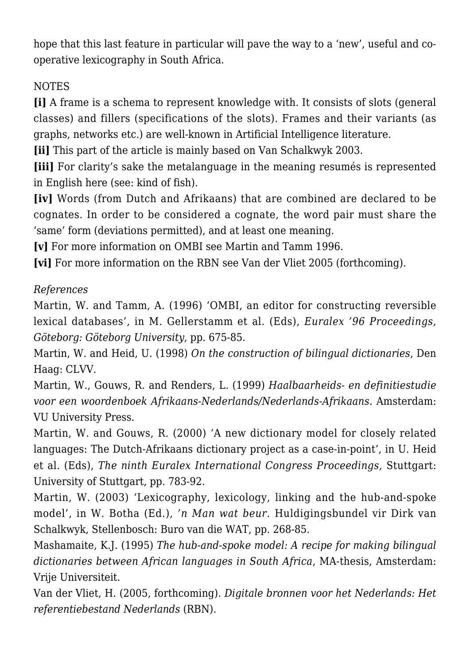hope that this last feature in particular will pave the way to a 'new', useful and cooperative lexicography in South Africa.

# **NOTES**

**[i]** A frame is a schema to represent knowledge with. It consists of slots (general classes) and fillers (specifications of the slots). Frames and their variants (as graphs, networks etc.) are well-known in Artificial Intelligence literature.

**[ii]** This part of the article is mainly based on Van Schalkwyk 2003.

**[iii]** For clarity's sake the metalanguage in the meaning resumés is represented in English here (see: kind of fish).

**[iv]** Words (from Dutch and Afrikaans) that are combined are declared to be cognates. In order to be considered a cognate, the word pair must share the 'same' form (deviations permitted), and at least one meaning.

**[v]** For more information on OMBI see Martin and Tamm 1996.

**[vi]** For more information on the RBN see Van der Vliet 2005 (forthcoming).

# *References*

Martin, W. and Tamm, A. (1996) 'OMBI, an editor for constructing reversible lexical databases', in M. Gellerstamm et al. (Eds), *Euralex '96 Proceedings, Göteborg: Göteborg University*, pp. 675-85.

Martin, W. and Heid, U. (1998) *On the construction of bilingual dictionaries*, Den Haag: CLVV.

Martin, W., Gouws, R. and Renders, L. (1999) *Haalbaarheids- en definitiestudie voor een woordenboek Afrikaans-Nederlands/Nederlands-Afrikaans.* Amsterdam: VU University Press.

Martin, W. and Gouws, R. (2000) 'A new dictionary model for closely related languages: The Dutch-Afrikaans dictionary project as a case-in-point', in U. Heid et al. (Eds), *The ninth Euralex International Congress Proceedings,* Stuttgart: University of Stuttgart, pp. 783-92.

Martin, W. (2003) 'Lexicography, lexicology, linking and the hub-and-spoke model', in W. Botha (Ed.), *'n Man wat beur.* Huldigingsbundel vir Dirk van Schalkwyk, Stellenbosch: Buro van die WAT, pp. 268-85.

Mashamaite, K.J. (1995) *The hub-and-spoke model: A recipe for making bilingual dictionaries between African languages in South Africa*, MA-thesis, Amsterdam: Vrije Universiteit.

Van der Vliet, H. (2005, forthcoming). *Digitale bronnen voor het Nederlands: Het referentiebestand Nederlands* (RBN).